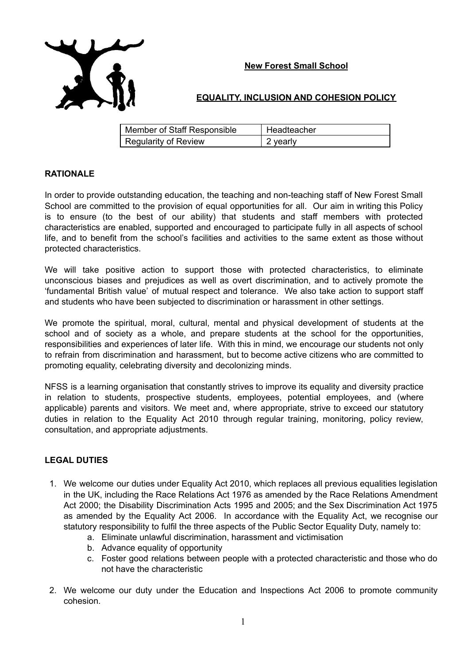

## **EQUALITY, INCLUSION AND COHESION POLICY**

| Member of Staff Responsible | Headteacher |
|-----------------------------|-------------|
| Regularity of Review        | 2 yearly    |

## **RATIONALE**

In order to provide outstanding education, the teaching and non-teaching staff of New Forest Small School are committed to the provision of equal opportunities for all. Our aim in writing this Policy is to ensure (to the best of our ability) that students and staff members with protected characteristics are enabled, supported and encouraged to participate fully in all aspects of school life, and to benefit from the school's facilities and activities to the same extent as those without protected characteristics.

We will take positive action to support those with protected characteristics, to eliminate unconscious biases and prejudices as well as overt discrimination, and to actively promote the 'fundamental British value' of mutual respect and tolerance. We also take action to support staff and students who have been subjected to discrimination or harassment in other settings.

We promote the spiritual, moral, cultural, mental and physical development of students at the school and of society as a whole, and prepare students at the school for the opportunities, responsibilities and experiences of later life. With this in mind, we encourage our students not only to refrain from discrimination and harassment, but to become active citizens who are committed to promoting equality, celebrating diversity and decolonizing minds.

NFSS is a learning organisation that constantly strives to improve its equality and diversity practice in relation to students, prospective students, employees, potential employees, and (where applicable) parents and visitors. We meet and, where appropriate, strive to exceed our statutory duties in relation to the Equality Act 2010 through regular training, monitoring, policy review, consultation, and appropriate adjustments.

## **LEGAL DUTIES**

- 1. We welcome our duties under Equality Act 2010, which replaces all previous equalities legislation in the UK, including the Race Relations Act 1976 as amended by the Race Relations Amendment Act 2000; the Disability Discrimination Acts 1995 and 2005; and the Sex Discrimination Act 1975 as amended by the Equality Act 2006. In accordance with the Equality Act, we recognise our statutory responsibility to fulfil the three aspects of the Public Sector Equality Duty, namely to:
	- a. Eliminate unlawful discrimination, harassment and victimisation
	- b. Advance equality of opportunity
	- c. Foster good relations between people with a protected characteristic and those who do not have the characteristic
- 2. We welcome our duty under the Education and Inspections Act 2006 to promote community cohesion.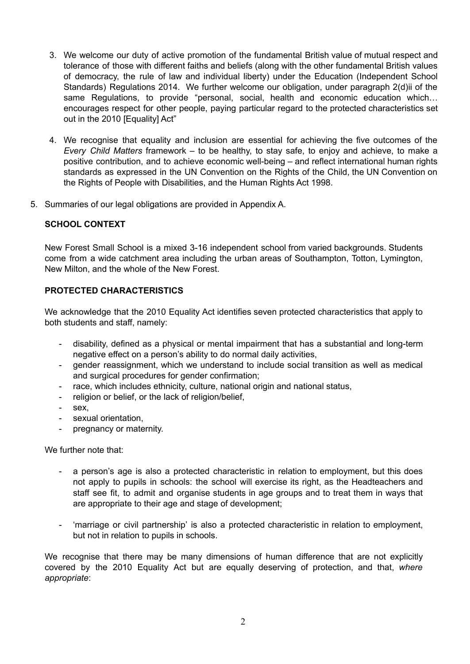- 3. We welcome our duty of active promotion of the fundamental British value of mutual respect and tolerance of those with different faiths and beliefs (along with the other fundamental British values of democracy, the rule of law and individual liberty) under the Education (Independent School Standards) Regulations 2014. We further welcome our obligation, under paragraph 2(d)ii of the same Regulations, to provide "personal, social, health and economic education which... encourages respect for other people, paying particular regard to the protected characteristics set out in the 2010 [Equality] Act"
- 4. We recognise that equality and inclusion are essential for achieving the five outcomes of the *Every Child Matters* framework – to be healthy, to stay safe, to enjoy and achieve, to make a positive contribution, and to achieve economic well-being – and reflect international human rights standards as expressed in the UN Convention on the Rights of the Child, the UN Convention on the Rights of People with Disabilities, and the Human Rights Act 1998.
- 5. Summaries of our legal obligations are provided in Appendix A.

## **SCHOOL CONTEXT**

New Forest Small School is a mixed 3-16 independent school from varied backgrounds. Students come from a wide catchment area including the urban areas of Southampton, Totton, Lymington, New Milton, and the whole of the New Forest.

## **PROTECTED CHARACTERISTICS**

We acknowledge that the 2010 Equality Act identifies seven protected characteristics that apply to both students and staff, namely:

- disability, defined as a physical or mental impairment that has a substantial and long-term negative effect on a person's ability to do normal daily activities,
- gender reassignment, which we understand to include social transition as well as medical and surgical procedures for gender confirmation;
- race, which includes ethnicity, culture, national origin and national status,
- religion or belief, or the lack of religion/belief.
- sex.
- sexual orientation,
- pregnancy or maternity.

We further note that:

- a person's age is also a protected characteristic in relation to employment, but this does not apply to pupils in schools: the school will exercise its right, as the Headteachers and staff see fit, to admit and organise students in age groups and to treat them in ways that are appropriate to their age and stage of development;
- 'marriage or civil partnership' is also a protected characteristic in relation to employment, but not in relation to pupils in schools.

We recognise that there may be many dimensions of human difference that are not explicitly covered by the 2010 Equality Act but are equally deserving of protection, and that, *where appropriate*: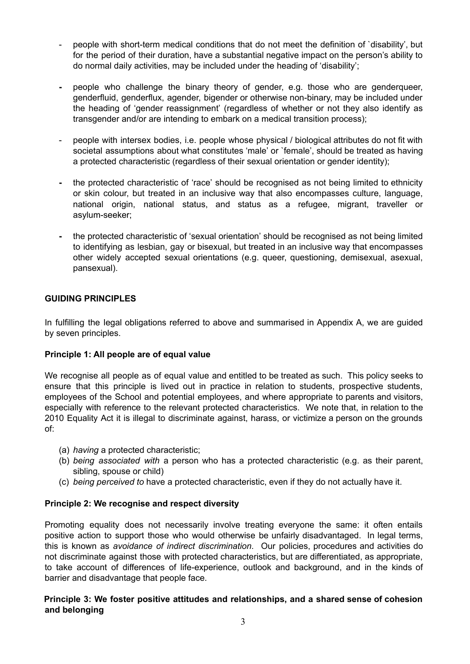- people with short-term medical conditions that do not meet the definition of `disability', but for the period of their duration, have a substantial negative impact on the person's ability to do normal daily activities, may be included under the heading of 'disability';
- **-** people who challenge the binary theory of gender, e.g. those who are genderqueer, genderfluid, genderflux, agender, bigender or otherwise non-binary, may be included under the heading of 'gender reassignment' (regardless of whether or not they also identify as transgender and/or are intending to embark on a medical transition process);
- people with intersex bodies, i.e. people whose physical / biological attributes do not fit with societal assumptions about what constitutes 'male' or `female', should be treated as having a protected characteristic (regardless of their sexual orientation or gender identity);
- **-** the protected characteristic of 'race' should be recognised as not being limited to ethnicity or skin colour, but treated in an inclusive way that also encompasses culture, language, national origin, national status, and status as a refugee, migrant, traveller or asylum-seeker;
- **-** the protected characteristic of 'sexual orientation' should be recognised as not being limited to identifying as lesbian, gay or bisexual, but treated in an inclusive way that encompasses other widely accepted sexual orientations (e.g. queer, questioning, demisexual, asexual, pansexual).

## **GUIDING PRINCIPLES**

In fulfilling the legal obligations referred to above and summarised in Appendix A, we are guided by seven principles.

## **Principle 1: All people are of equal value**

We recognise all people as of equal value and entitled to be treated as such. This policy seeks to ensure that this principle is lived out in practice in relation to students, prospective students, employees of the School and potential employees, and where appropriate to parents and visitors, especially with reference to the relevant protected characteristics. We note that, in relation to the 2010 Equality Act it is illegal to discriminate against, harass, or victimize a person on the grounds of:

- (a) *having* a protected characteristic;
- (b) *being associated with* a person who has a protected characteristic (e.g. as their parent, sibling, spouse or child)
- (c) *being perceived to* have a protected characteristic, even if they do not actually have it.

## **Principle 2: We recognise and respect diversity**

Promoting equality does not necessarily involve treating everyone the same: it often entails positive action to support those who would otherwise be unfairly disadvantaged. In legal terms, this is known as *avoidance of indirect discrimination*. Our policies, procedures and activities do not discriminate against those with protected characteristics, but are differentiated, as appropriate, to take account of differences of life-experience, outlook and background, and in the kinds of barrier and disadvantage that people face.

## **Principle 3: We foster positive attitudes and relationships, and a shared sense of cohesion and belonging**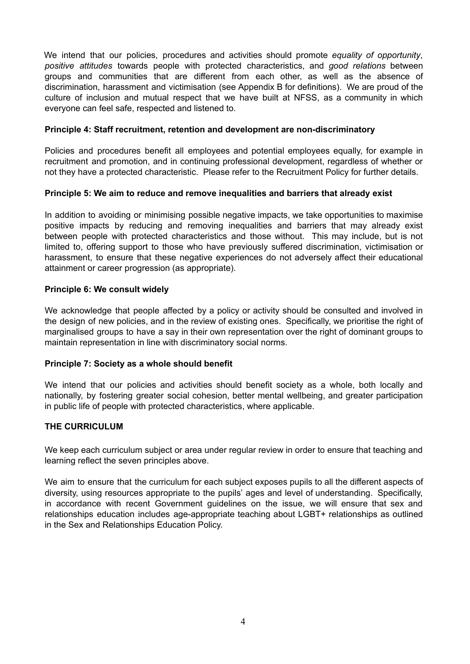We intend that our policies, procedures and activities should promote *equality of opportunity*, *positive attitudes* towards people with protected characteristics, and *good relations* between groups and communities that are different from each other, as well as the absence of discrimination, harassment and victimisation (see Appendix B for definitions). We are proud of the culture of inclusion and mutual respect that we have built at NFSS, as a community in which everyone can feel safe, respected and listened to.

#### **Principle 4: Staff recruitment, retention and development are non-discriminatory**

Policies and procedures benefit all employees and potential employees equally, for example in recruitment and promotion, and in continuing professional development, regardless of whether or not they have a protected characteristic. Please refer to the Recruitment Policy for further details.

#### **Principle 5: We aim to reduce and remove inequalities and barriers that already exist**

In addition to avoiding or minimising possible negative impacts, we take opportunities to maximise positive impacts by reducing and removing inequalities and barriers that may already exist between people with protected characteristics and those without. This may include, but is not limited to, offering support to those who have previously suffered discrimination, victimisation or harassment, to ensure that these negative experiences do not adversely affect their educational attainment or career progression (as appropriate).

## **Principle 6: We consult widely**

We acknowledge that people affected by a policy or activity should be consulted and involved in the design of new policies, and in the review of existing ones. Specifically, we prioritise the right of marginalised groups to have a say in their own representation over the right of dominant groups to maintain representation in line with discriminatory social norms.

## **Principle 7: Society as a whole should benefit**

We intend that our policies and activities should benefit society as a whole, both locally and nationally, by fostering greater social cohesion, better mental wellbeing, and greater participation in public life of people with protected characteristics, where applicable.

## **THE CURRICULUM**

We keep each curriculum subject or area under regular review in order to ensure that teaching and learning reflect the seven principles above.

We aim to ensure that the curriculum for each subject exposes pupils to all the different aspects of diversity, using resources appropriate to the pupils' ages and level of understanding. Specifically, in accordance with recent Government guidelines on the issue, we will ensure that sex and relationships education includes age-appropriate teaching about LGBT+ relationships as outlined in the Sex and Relationships Education Policy.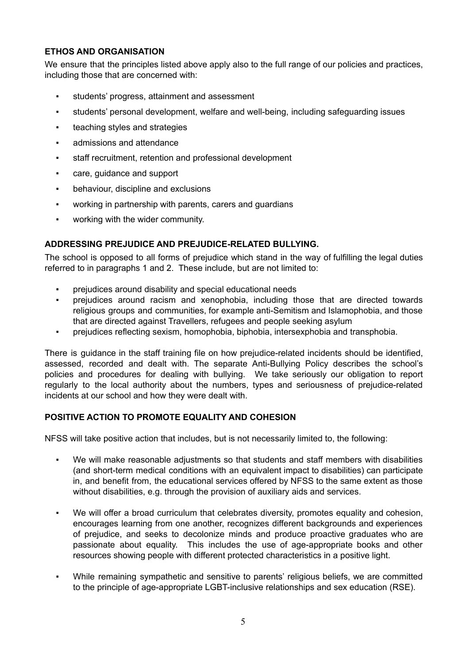## **ETHOS AND ORGANISATION**

We ensure that the principles listed above apply also to the full range of our policies and practices, including those that are concerned with:

- students' progress, attainment and assessment
- students' personal development, welfare and well-being, including safeguarding issues
- **•** teaching styles and strategies
- admissions and attendance
- staff recruitment, retention and professional development
- care, guidance and support
- behaviour, discipline and exclusions
- working in partnership with parents, carers and guardians
- working with the wider community.

## **ADDRESSING PREJUDICE AND PREJUDICE-RELATED BULLYING.**

The school is opposed to all forms of prejudice which stand in the way of fulfilling the legal duties referred to in paragraphs 1 and 2. These include, but are not limited to:

- prejudices around disability and special educational needs
- prejudices around racism and xenophobia, including those that are directed towards religious groups and communities, for example anti-Semitism and Islamophobia, and those that are directed against Travellers, refugees and people seeking asylum
- prejudices reflecting sexism, homophobia, biphobia, intersexphobia and transphobia.

There is guidance in the staff training file on how prejudice-related incidents should be identified, assessed, recorded and dealt with. The separate Anti-Bullying Policy describes the school's policies and procedures for dealing with bullying. We take seriously our obligation to report regularly to the local authority about the numbers, types and seriousness of prejudice-related incidents at our school and how they were dealt with.

## **POSITIVE ACTION TO PROMOTE EQUALITY AND COHESION**

NFSS will take positive action that includes, but is not necessarily limited to, the following:

- We will make reasonable adjustments so that students and staff members with disabilities (and short-term medical conditions with an equivalent impact to disabilities) can participate in, and benefit from, the educational services offered by NFSS to the same extent as those without disabilities, e.g. through the provision of auxiliary aids and services.
- We will offer a broad curriculum that celebrates diversity, promotes equality and cohesion, encourages learning from one another, recognizes different backgrounds and experiences of prejudice, and seeks to decolonize minds and produce proactive graduates who are passionate about equality. This includes the use of age-appropriate books and other resources showing people with different protected characteristics in a positive light.
- While remaining sympathetic and sensitive to parents' religious beliefs, we are committed to the principle of age-appropriate LGBT-inclusive relationships and sex education (RSE).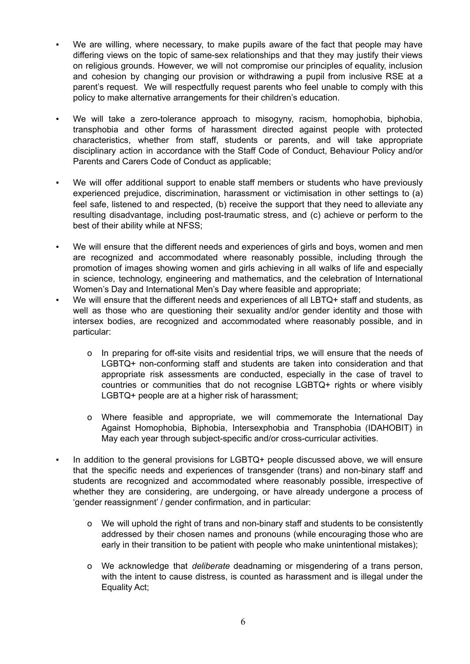- We are willing, where necessary, to make pupils aware of the fact that people may have differing views on the topic of same-sex relationships and that they may justify their views on religious grounds. However, we will not compromise our principles of equality, inclusion and cohesion by changing our provision or withdrawing a pupil from inclusive RSE at a parent's request. We will respectfully request parents who feel unable to comply with this policy to make alternative arrangements for their children's education.
- We will take a zero-tolerance approach to misogyny, racism, homophobia, biphobia, transphobia and other forms of harassment directed against people with protected characteristics, whether from staff, students or parents, and will take appropriate disciplinary action in accordance with the Staff Code of Conduct, Behaviour Policy and/or Parents and Carers Code of Conduct as applicable;
- We will offer additional support to enable staff members or students who have previously experienced prejudice, discrimination, harassment or victimisation in other settings to (a) feel safe, listened to and respected, (b) receive the support that they need to alleviate any resulting disadvantage, including post-traumatic stress, and (c) achieve or perform to the best of their ability while at NFSS;
- We will ensure that the different needs and experiences of girls and boys, women and men are recognized and accommodated where reasonably possible, including through the promotion of images showing women and girls achieving in all walks of life and especially in science, technology, engineering and mathematics, and the celebration of International Women's Day and International Men's Day where feasible and appropriate;
- We will ensure that the different needs and experiences of all LBTQ+ staff and students, as well as those who are questioning their sexuality and/or gender identity and those with intersex bodies, are recognized and accommodated where reasonably possible, and in particular:
	- o In preparing for off-site visits and residential trips, we will ensure that the needs of LGBTQ+ non-conforming staff and students are taken into consideration and that appropriate risk assessments are conducted, especially in the case of travel to countries or communities that do not recognise LGBTQ+ rights or where visibly LGBTQ+ people are at a higher risk of harassment;
	- o Where feasible and appropriate, we will commemorate the International Day Against Homophobia, Biphobia, Intersexphobia and Transphobia (IDAHOBIT) in May each year through subject-specific and/or cross-curricular activities.
- In addition to the general provisions for LGBTQ+ people discussed above, we will ensure that the specific needs and experiences of transgender (trans) and non-binary staff and students are recognized and accommodated where reasonably possible, irrespective of whether they are considering, are undergoing, or have already undergone a process of 'gender reassignment' / gender confirmation, and in particular:
	- o We will uphold the right of trans and non-binary staff and students to be consistently addressed by their chosen names and pronouns (while encouraging those who are early in their transition to be patient with people who make unintentional mistakes);
	- o We acknowledge that *deliberate* deadnaming or misgendering of a trans person, with the intent to cause distress, is counted as harassment and is illegal under the Equality Act;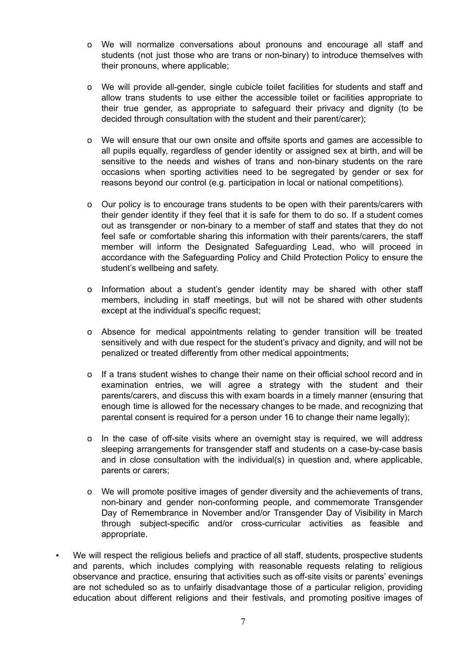- o We will normalize conversations about pronouns and encourage all staff and students (not just those who are trans or non-binary) to introduce themselves with their pronouns, where applicable;
- o We will provide all-gender, single cubicle toilet facilities for students and staff and allow trans students to use either the accessible toilet or facilities appropriate to their true gender, as appropriate to safeguard their privacy and dignity (to be decided through consultation with the student and their parent/carer);
- o We will ensure that our own onsite and offsite sports and games are accessible to all pupils equally, regardless of gender identity or assigned sex at birth, and will be sensitive to the needs and wishes of trans and non-binary students on the rare occasions when sporting activities need to be segregated by gender or sex for reasons beyond our control (e.g. participation in local or national competitions).
- o Our policy is to encourage trans students to be open with their parents/carers with their gender identity if they feel that it is safe for them to do so. If a student comes out as transgender or non-binary to a member of staff and states that they do not feel safe or comfortable sharing this information with their parents/carers, the staff member will inform the Designated Safeguarding Lead, who will proceed in accordance with the Safeguarding Policy and Child Protection Policy to ensure the student's wellbeing and safety.
- o Information about a student's gender identity may be shared with other staff members, including in staff meetings, but will not be shared with other students except at the individual's specific request;
- o Absence for medical appointments relating to gender transition will be treated sensitively and with due respect for the student's privacy and dignity, and will not be penalized or treated differently from other medical appointments;
- o If a trans student wishes to change their name on their official school record and in examination entries, we will agree a strategy with the student and their parents/carers, and discuss this with exam boards in a timely manner (ensuring that enough time is allowed for the necessary changes to be made, and recognizing that parental consent is required for a person under 16 to change their name legally);
- o In the case of off-site visits where an overnight stay is required, we will address sleeping arrangements for transgender staff and students on a case-by-case basis and in close consultation with the individual(s) in question and, where applicable, parents or carers;
- o We will promote positive images of gender diversity and the achievements of trans, non-binary and gender non-conforming people, and commemorate Transgender Day of Remembrance in November and/or Transgender Day of Visibility in March through subject-specific and/or cross-curricular activities as feasible and appropriate.
- We will respect the religious beliefs and practice of all staff, students, prospective students and parents, which includes complying with reasonable requests relating to religious observance and practice, ensuring that activities such as off-site visits or parents' evenings are not scheduled so as to unfairly disadvantage those of a particular religion, providing education about different religions and their festivals, and promoting positive images of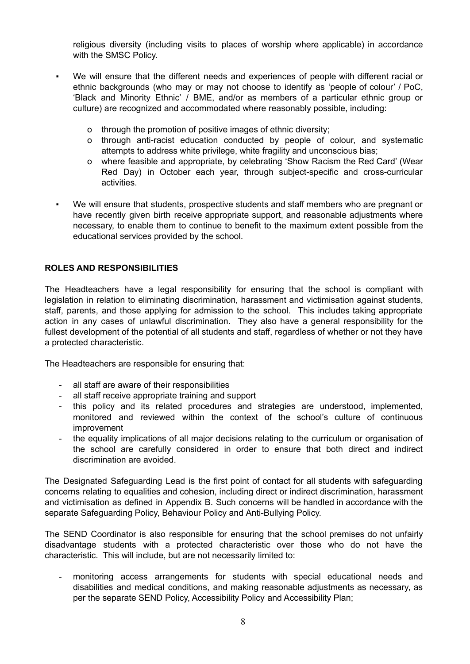religious diversity (including visits to places of worship where applicable) in accordance with the SMSC Policy.

- We will ensure that the different needs and experiences of people with different racial or ethnic backgrounds (who may or may not choose to identify as 'people of colour' / PoC, 'Black and Minority Ethnic' / BME, and/or as members of a particular ethnic group or culture) are recognized and accommodated where reasonably possible, including:
	- o through the promotion of positive images of ethnic diversity;
	- o through anti-racist education conducted by people of colour, and systematic attempts to address white privilege, white fragility and unconscious bias;
	- o where feasible and appropriate, by celebrating 'Show Racism the Red Card' (Wear Red Day) in October each year, through subject-specific and cross-curricular activities.
- We will ensure that students, prospective students and staff members who are pregnant or have recently given birth receive appropriate support, and reasonable adjustments where necessary, to enable them to continue to benefit to the maximum extent possible from the educational services provided by the school.

#### **ROLES AND RESPONSIBILITIES**

The Headteachers have a legal responsibility for ensuring that the school is compliant with legislation in relation to eliminating discrimination, harassment and victimisation against students, staff, parents, and those applying for admission to the school. This includes taking appropriate action in any cases of unlawful discrimination. They also have a general responsibility for the fullest development of the potential of all students and staff, regardless of whether or not they have a protected characteristic.

The Headteachers are responsible for ensuring that:

- all staff are aware of their responsibilities
- all staff receive appropriate training and support
- this policy and its related procedures and strategies are understood, implemented, monitored and reviewed within the context of the school's culture of continuous improvement
- the equality implications of all major decisions relating to the curriculum or organisation of the school are carefully considered in order to ensure that both direct and indirect discrimination are avoided.

The Designated Safeguarding Lead is the first point of contact for all students with safeguarding concerns relating to equalities and cohesion, including direct or indirect discrimination, harassment and victimisation as defined in Appendix B. Such concerns will be handled in accordance with the separate Safeguarding Policy, Behaviour Policy and Anti-Bullying Policy.

The SEND Coordinator is also responsible for ensuring that the school premises do not unfairly disadvantage students with a protected characteristic over those who do not have the characteristic. This will include, but are not necessarily limited to:

- monitoring access arrangements for students with special educational needs and disabilities and medical conditions, and making reasonable adjustments as necessary, as per the separate SEND Policy, Accessibility Policy and Accessibility Plan;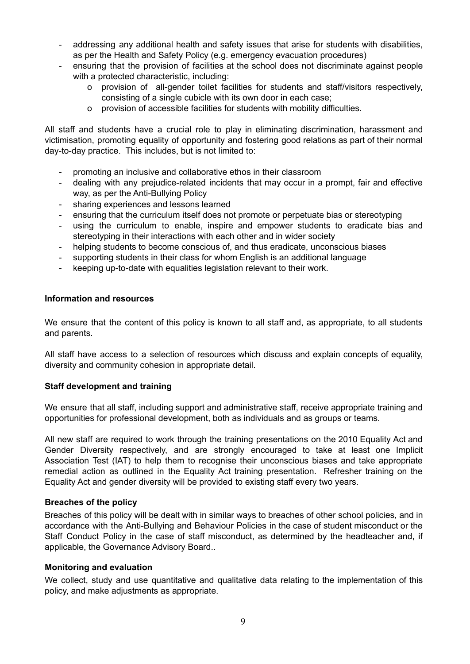- addressing any additional health and safety issues that arise for students with disabilities, as per the Health and Safety Policy (e.g. emergency evacuation procedures)
- ensuring that the provision of facilities at the school does not discriminate against people with a protected characteristic, including:
	- o provision of all-gender toilet facilities for students and staff/visitors respectively, consisting of a single cubicle with its own door in each case;
	- o provision of accessible facilities for students with mobility difficulties.

All staff and students have a crucial role to play in eliminating discrimination, harassment and victimisation, promoting equality of opportunity and fostering good relations as part of their normal day-to-day practice. This includes, but is not limited to:

- promoting an inclusive and collaborative ethos in their classroom
- dealing with any prejudice-related incidents that may occur in a prompt, fair and effective way, as per the Anti-Bullying Policy
- sharing experiences and lessons learned
- ensuring that the curriculum itself does not promote or perpetuate bias or stereotyping
- using the curriculum to enable, inspire and empower students to eradicate bias and stereotyping in their interactions with each other and in wider society
- helping students to become conscious of, and thus eradicate, unconscious biases
- supporting students in their class for whom English is an additional language
- keeping up-to-date with equalities legislation relevant to their work.

## **Information and resources**

We ensure that the content of this policy is known to all staff and, as appropriate, to all students and parents.

All staff have access to a selection of resources which discuss and explain concepts of equality, diversity and community cohesion in appropriate detail.

## **Staff development and training**

We ensure that all staff, including support and administrative staff, receive appropriate training and opportunities for professional development, both as individuals and as groups or teams.

All new staff are required to work through the training presentations on the 2010 Equality Act and Gender Diversity respectively, and are strongly encouraged to take at least one Implicit Association Test (IAT) to help them to recognise their unconscious biases and take appropriate remedial action as outlined in the Equality Act training presentation. Refresher training on the Equality Act and gender diversity will be provided to existing staff every two years.

## **Breaches of the policy**

Breaches of this policy will be dealt with in similar ways to breaches of other school policies, and in accordance with the Anti-Bullying and Behaviour Policies in the case of student misconduct or the Staff Conduct Policy in the case of staff misconduct, as determined by the headteacher and, if applicable, the Governance Advisory Board..

## **Monitoring and evaluation**

We collect, study and use quantitative and qualitative data relating to the implementation of this policy, and make adjustments as appropriate.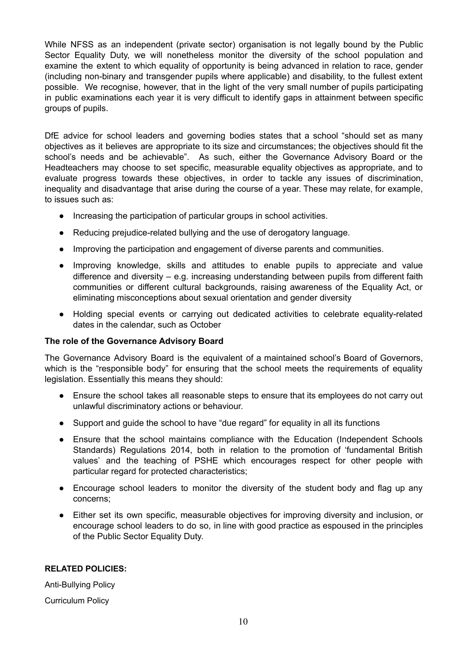While NFSS as an independent (private sector) organisation is not legally bound by the Public Sector Equality Duty, we will nonetheless monitor the diversity of the school population and examine the extent to which equality of opportunity is being advanced in relation to race, gender (including non-binary and transgender pupils where applicable) and disability, to the fullest extent possible. We recognise, however, that in the light of the very small number of pupils participating in public examinations each year it is very difficult to identify gaps in attainment between specific groups of pupils.

DfE advice for school leaders and governing bodies states that a school "should set as many objectives as it believes are appropriate to its size and circumstances; the objectives should fit the school's needs and be achievable". As such, either the Governance Advisory Board or the Headteachers may choose to set specific, measurable equality objectives as appropriate, and to evaluate progress towards these objectives, in order to tackle any issues of discrimination, inequality and disadvantage that arise during the course of a year. These may relate, for example, to issues such as:

- Increasing the participation of particular groups in school activities.
- Reducing prejudice-related bullying and the use of derogatory language.
- Improving the participation and engagement of diverse parents and communities.
- Improving knowledge, skills and attitudes to enable pupils to appreciate and value difference and diversity – e.g. increasing understanding between pupils from different faith communities or different cultural backgrounds, raising awareness of the Equality Act, or eliminating misconceptions about sexual orientation and gender diversity
- Holding special events or carrying out dedicated activities to celebrate equality-related dates in the calendar, such as October

#### **The role of the Governance Advisory Board**

The Governance Advisory Board is the equivalent of a maintained school's Board of Governors, which is the "responsible body" for ensuring that the school meets the requirements of equality legislation. Essentially this means they should:

- Ensure the school takes all reasonable steps to ensure that its employees do not carry out unlawful discriminatory actions or behaviour.
- Support and guide the school to have "due regard" for equality in all its functions
- Ensure that the school maintains compliance with the Education (Independent Schools Standards) Regulations 2014, both in relation to the promotion of 'fundamental British values' and the teaching of PSHE which encourages respect for other people with particular regard for protected characteristics;
- Encourage school leaders to monitor the diversity of the student body and flag up any concerns;
- Either set its own specific, measurable objectives for improving diversity and inclusion, or encourage school leaders to do so, in line with good practice as espoused in the principles of the Public Sector Equality Duty.

#### **RELATED POLICIES:**

Anti-Bullying Policy Curriculum Policy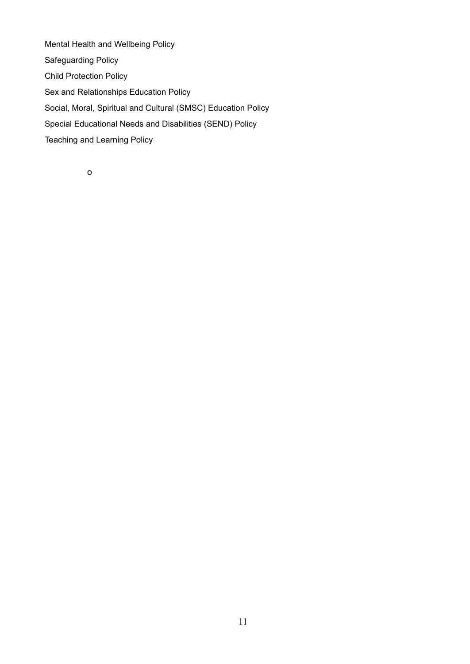Mental Health and Wellbeing Policy Safeguarding Policy Child Protection Policy Sex and Relationships Education Policy Social, Moral, Spiritual and Cultural (SMSC) Education Policy Special Educational Needs and Disabilities (SEND) Policy Teaching and Learning Policy

o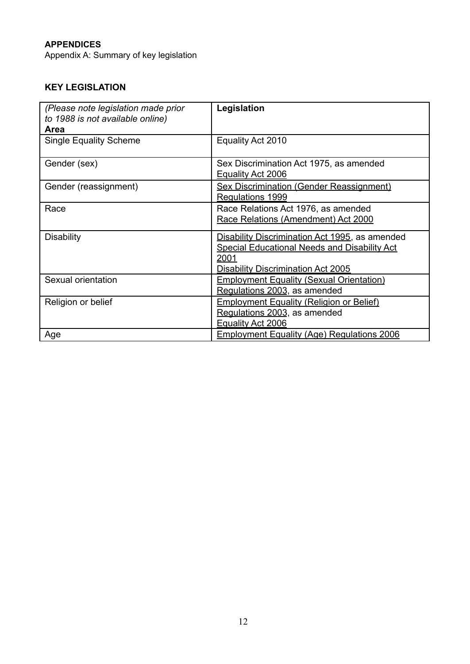# **APPENDICES**

Appendix A: Summary of key legislation

# **KEY LEGISLATION**

| (Please note legislation made prior<br>to 1988 is not available online)<br>Area | Legislation                                                                                                                                         |
|---------------------------------------------------------------------------------|-----------------------------------------------------------------------------------------------------------------------------------------------------|
| <b>Single Equality Scheme</b>                                                   | Equality Act 2010                                                                                                                                   |
| Gender (sex)                                                                    | Sex Discrimination Act 1975, as amended<br>Equality Act 2006                                                                                        |
| Gender (reassignment)                                                           | <b>Sex Discrimination (Gender Reassignment)</b><br>Regulations 1999                                                                                 |
| Race                                                                            | Race Relations Act 1976, as amended<br>Race Relations (Amendment) Act 2000                                                                          |
| <b>Disability</b>                                                               | Disability Discrimination Act 1995, as amended<br>Special Educational Needs and Disability Act<br>2001<br><b>Disability Discrimination Act 2005</b> |
| Sexual orientation                                                              | <b>Employment Equality (Sexual Orientation)</b><br>Regulations 2003, as amended                                                                     |
| Religion or belief                                                              | <b>Employment Equality (Religion or Belief)</b><br>Regulations 2003, as amended<br>Equality Act 2006                                                |
| Age                                                                             | <b>Employment Equality (Age) Regulations 2006</b>                                                                                                   |